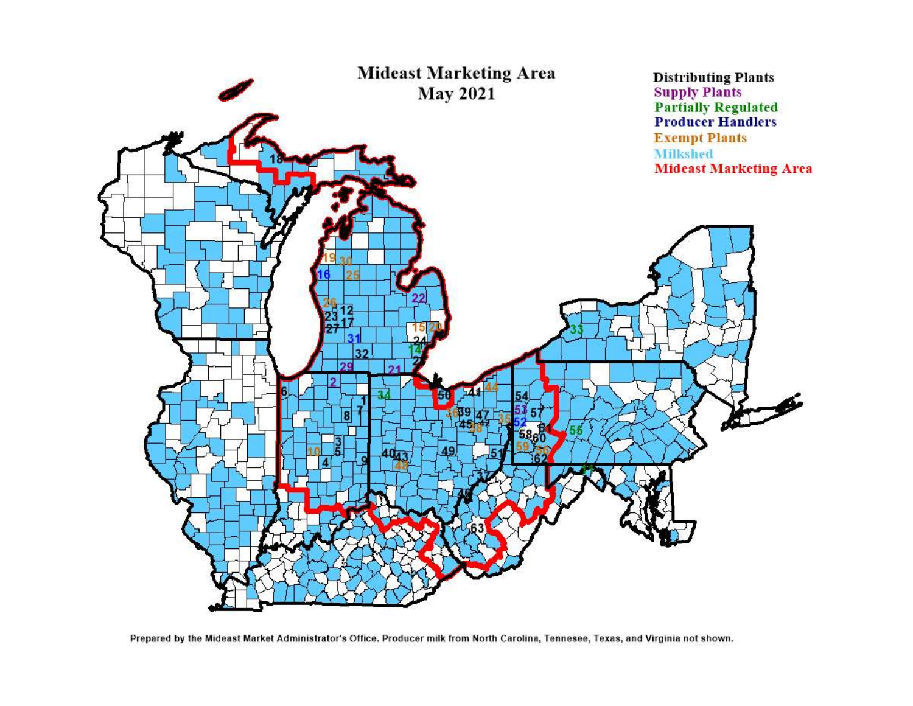

Prepared by the Mideast Market Administrator's Office. Producer milk from North Carolina, Tennesee, Texas, and Virginia not shown.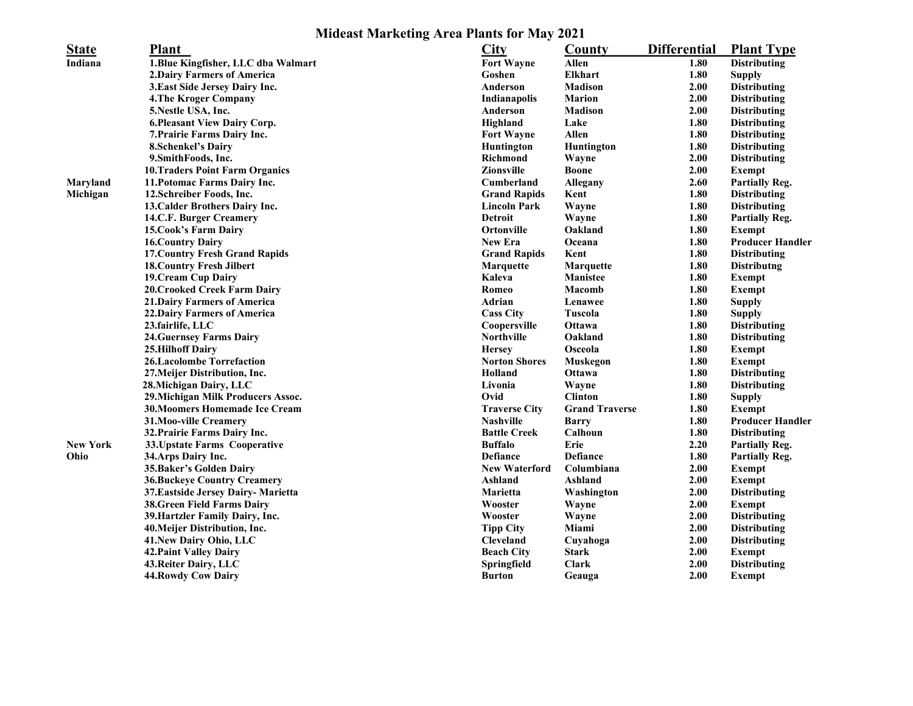## Mideast Marketing Area Plants for May 2021

| <b>State</b>    | <b>Plant</b>                           | <b>City</b>          | County                | <b>Differential</b> | <b>Plant Type</b>       |
|-----------------|----------------------------------------|----------------------|-----------------------|---------------------|-------------------------|
| Indiana         | 1. Blue Kingfisher, LLC dba Walmart    | <b>Fort Wayne</b>    | <b>Allen</b>          | 1.80                | <b>Distributing</b>     |
|                 | 2. Dairy Farmers of America            | Goshen               | <b>Elkhart</b>        | 1.80                | <b>Supply</b>           |
|                 | 3. East Side Jersey Dairy Inc.         | Anderson             | <b>Madison</b>        | 2.00                | <b>Distributing</b>     |
|                 | 4. The Kroger Company                  | Indianapolis         | <b>Marion</b>         | 2.00                | <b>Distributing</b>     |
|                 | 5. Nestle USA, Inc.                    | Anderson             | Madison               | 2.00                | <b>Distributing</b>     |
|                 | <b>6. Pleasant View Dairy Corp.</b>    | Highland             | Lake                  | 1.80                | <b>Distributing</b>     |
|                 | 7. Prairie Farms Dairy Inc.            | <b>Fort Wayne</b>    | <b>Allen</b>          | 1.80                | <b>Distributing</b>     |
|                 | <b>8.Schenkel's Dairy</b>              | Huntington           | <b>Huntington</b>     | 1.80                | <b>Distributing</b>     |
|                 | 9. Smith Foods, Inc.                   | <b>Richmond</b>      | Wayne                 | 2.00                | <b>Distributing</b>     |
|                 | <b>10. Traders Point Farm Organics</b> | <b>Zionsville</b>    | <b>Boone</b>          | 2.00                | <b>Exempt</b>           |
| Maryland        | 11. Potomac Farms Dairy Inc.           | Cumberland           | Allegany              | 2.60                | Partially Reg.          |
| Michigan        | 12.Schreiber Foods, Inc.               | <b>Grand Rapids</b>  | Kent                  | 1.80                | <b>Distributing</b>     |
|                 | 13. Calder Brothers Dairy Inc.         | <b>Lincoln Park</b>  | Wayne                 | 1.80                | <b>Distributing</b>     |
|                 | 14.C.F. Burger Creamery                | <b>Detroit</b>       | Wayne                 | 1.80                | <b>Partially Reg.</b>   |
|                 | <b>15. Cook's Farm Dairy</b>           | Ortonville           | Oakland               | 1.80                | <b>Exempt</b>           |
|                 | <b>16. Country Dairy</b>               | <b>New Era</b>       | Oceana                | 1.80                | <b>Producer Handler</b> |
|                 | <b>17. Country Fresh Grand Rapids</b>  | <b>Grand Rapids</b>  | Kent                  | 1.80                | <b>Distributing</b>     |
|                 | <b>18. Country Fresh Jilbert</b>       | Marquette            | <b>Marquette</b>      | 1.80                | <b>Distributng</b>      |
|                 | <b>19. Cream Cup Dairy</b>             | Kaleva               | <b>Manistee</b>       | 1.80                | <b>Exempt</b>           |
|                 | <b>20. Crooked Creek Farm Dairy</b>    | Romeo                | Macomb                | 1.80                | <b>Exempt</b>           |
|                 | <b>21. Dairy Farmers of America</b>    | Adrian               | Lenawee               | 1.80                | <b>Supply</b>           |
|                 | <b>22.Dairy Farmers of America</b>     | <b>Cass City</b>     | Tuscola               | 1.80                | <b>Supply</b>           |
|                 | 23.fairlife, LLC                       | Coopersville         | <b>Ottawa</b>         | 1.80                | <b>Distributing</b>     |
|                 | <b>24. Guernsey Farms Dairy</b>        | Northville           | Oakland               | 1.80                | <b>Distributing</b>     |
|                 | <b>25.Hilhoff Dairy</b>                | <b>Hersey</b>        | Osceola               | 1.80                | <b>Exempt</b>           |
|                 | <b>26.Lacolombe Torrefaction</b>       | <b>Norton Shores</b> | Muskegon              | 1.80                | <b>Exempt</b>           |
|                 | 27. Meijer Distribution, Inc.          | Holland              | <b>Ottawa</b>         | 1.80                | <b>Distributing</b>     |
|                 | 28. Michigan Dairy, LLC                | Livonia              | Wayne                 | 1.80                | <b>Distributing</b>     |
|                 | 29. Michigan Milk Producers Assoc.     | Ovid                 | <b>Clinton</b>        | 1.80                | <b>Supply</b>           |
|                 | 30. Moomers Homemade Ice Cream         | <b>Traverse City</b> | <b>Grand Traverse</b> | 1.80                | <b>Exempt</b>           |
|                 | 31. Moo-ville Creamery                 | <b>Nashville</b>     | <b>Barry</b>          | 1.80                | <b>Producer Handler</b> |
|                 | 32. Prairie Farms Dairy Inc.           | <b>Battle Creek</b>  | Calhoun               | 1.80                | <b>Distributing</b>     |
| <b>New York</b> | <b>33. Upstate Farms Cooperative</b>   | <b>Buffalo</b>       | Erie                  | 2.20                | <b>Partially Reg.</b>   |
| Ohio            | 34. Arps Dairy Inc.                    | <b>Defiance</b>      | <b>Defiance</b>       | 1.80                | Partially Reg.          |
|                 | 35. Baker's Golden Dairy               | <b>New Waterford</b> | Columbiana            | 2.00                | <b>Exempt</b>           |
|                 | <b>36. Buckeye Country Creamery</b>    | Ashland              | Ashland               | 2.00                | <b>Exempt</b>           |
|                 | 37. Eastside Jersey Dairy- Marietta    | Marietta             | Washington            | 2.00                | <b>Distributing</b>     |
|                 | <b>38. Green Field Farms Dairy</b>     | Wooster              | Wayne                 | 2.00                | Exempt                  |
|                 | 39. Hartzler Family Dairy, Inc.        | Wooster              | Wayne                 | 2.00                | <b>Distributing</b>     |
|                 | 40. Meijer Distribution, Inc.          | <b>Tipp City</b>     | Miami                 | 2.00                | <b>Distributing</b>     |
|                 | 41. New Dairy Ohio, LLC                | Cleveland            | Cuyahoga              | 2.00                | <b>Distributing</b>     |
|                 | <b>42. Paint Valley Dairy</b>          | <b>Beach City</b>    | <b>Stark</b>          | 2.00                | <b>Exempt</b>           |
|                 | 43. Reiter Dairy, LLC                  | Springfield          | <b>Clark</b>          | 2.00                | <b>Distributing</b>     |
|                 | <b>44. Rowdy Cow Dairy</b>             | <b>Burton</b>        | Geauga                | 2.00                | Exempt                  |